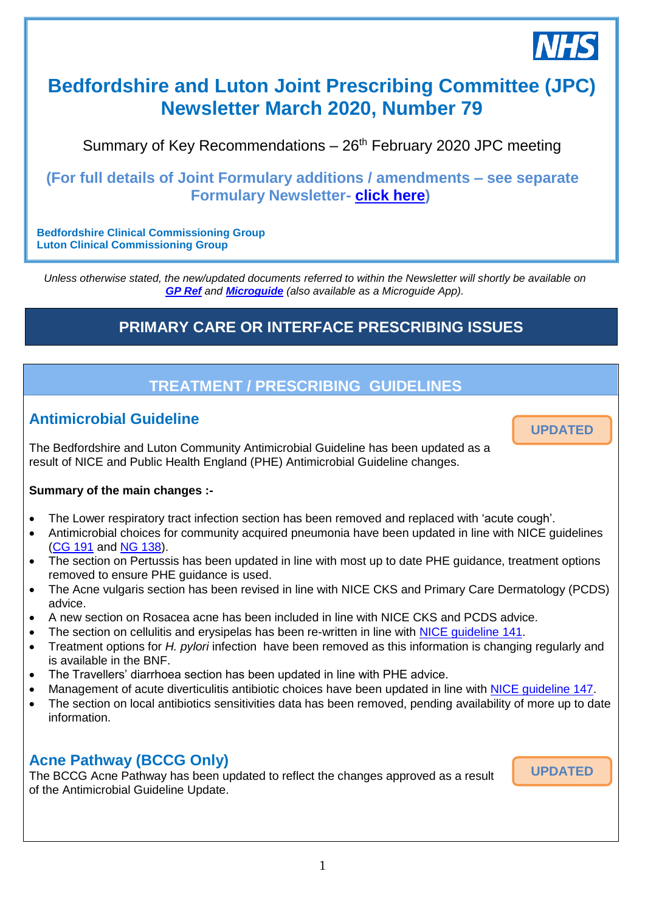

# **Bedfordshire and Luton Joint Prescribing Committee (JPC) Newsletter March 2020, Number 79**

Summary of Key Recommendations  $-26<sup>th</sup>$  February 2020 JPC meeting

### **(For full details of Joint Formulary additions / amendments – see separate Formulary Newsletter- [click here\)](https://www.gpref.bedfordshire.nhs.uk/media/234216/formularynewsletter_march2020.pdf)**

**Bedfordshire Clinical Commissioning Group Luton Clinical Commissioning Group**

*Unless otherwise stated, the new/updated documents referred to within the Newsletter will shortly be available on [GP Ref](http://www.gpref.bedfordshire.nhs.uk/referrals/bedfordshire-and-luton-joint-prescribing-committee-(jpc).aspx) and [Microguide](https://cms.horizonsp.co.uk/viewer/bedsccg/clinicalguidelines) (also available as a Microguide App).*

## **PRIMARY CARE OR INTERFACE PRESCRIBING ISSUES**

## **TREATMENT / PRESCRIBING GUIDELINES**

*28th November 2018*

## **Antimicrobial Guideline**

The Bedfordshire and Luton Community Antimicrobial Guideline has been updated as a result of NICE and Public Health England (PHE) Antimicrobial Guideline changes.

#### **Summary of the main changes :-**

- The Lower respiratory tract infection section has been removed and replaced with 'acute cough'.
- Antimicrobial choices for community acquired pneumonia have been updated in line with NICE guidelines [\(CG 191](https://www.nice.org.uk/guidance/cg191) and [NG 138\)](https://www.nice.org.uk/guidance/ng138).
- The section on Pertussis has been updated in line with most up to date PHE guidance, treatment options removed to ensure PHE guidance is used.
- The Acne vulgaris section has been revised in line with NICE CKS and Primary Care Dermatology (PCDS) advice.
- A new section on Rosacea acne has been included in line with NICE CKS and PCDS advice.
- The section on cellulitis and erysipelas has been re-written in line with [NICE guideline](https://www.nice.org.uk/guidance/ng141) 141.
- Treatment options for *H. pylori* infection have been removed as this information is changing regularly and is available in the BNF.
- The Travellers' diarrhoea section has been updated in line with PHE advice.
- Management of acute diverticulitis antibiotic choices have been updated in line with [NICE guideline 147.](https://www.nice.org.uk/guidance/ng147)
- The section on local antibiotics sensitivities data has been removed, pending availability of more up to date information.

### **Acne Pathway (BCCG Only)**

The BCCG Acne Pathway has been updated to reflect the changes approved as a result of the Antimicrobial Guideline Update.

**UPDATED**

**UPDATED**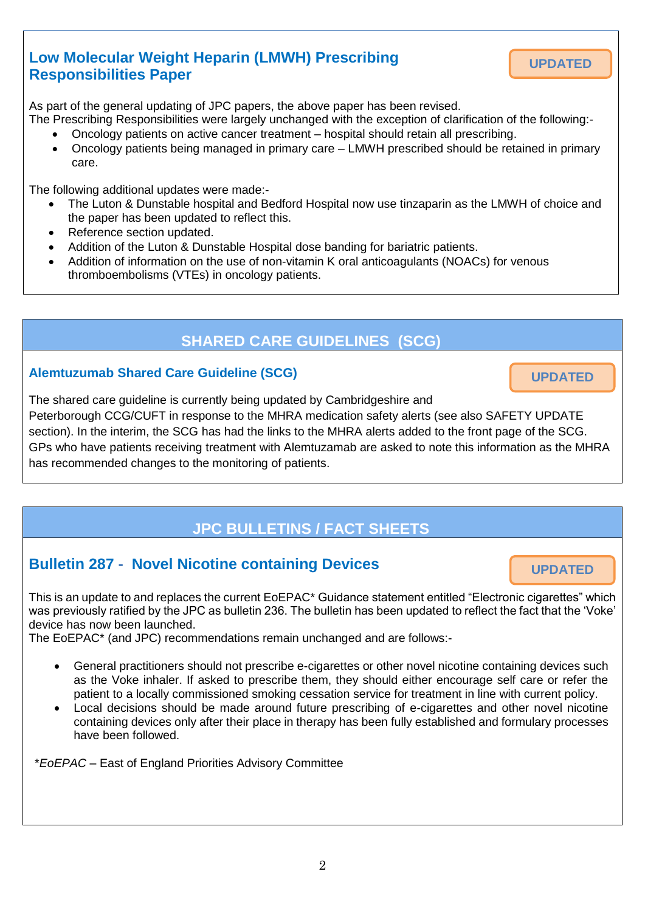## **Low Molecular Weight Heparin (LMWH) Prescribing Responsibilities Paper**

As part of the general updating of JPC papers, the above paper has been revised.

The Prescribing Responsibilities were largely unchanged with the exception of clarification of the following:- Oncology patients on active cancer treatment – hospital should retain all prescribing.

 Oncology patients being managed in primary care – LMWH prescribed should be retained in primary care.

The following additional updates were made:-

- The Luton & Dunstable hospital and Bedford Hospital now use tinzaparin as the LMWH of choice and the paper has been updated to reflect this.
- Reference section updated.
- Addition of the Luton & Dunstable Hospital dose banding for bariatric patients.
- Addition of information on the use of non-vitamin K oral anticoagulants (NOACs) for venous thromboembolisms (VTEs) in oncology patients.

### **SHARED CARE GUIDELINES (SCG)**

#### **Alemtuzumab Shared Care Guideline (SCG)**

**UPDATED**

**UPDATED**

The shared care guideline is currently being updated by Cambridgeshire and Peterborough CCG/CUFT in response to the MHRA medication safety alerts (see also SAFETY UPDATE section). In the interim, the SCG has had the links to the MHRA alerts added to the front page of the SCG. GPs who have patients receiving treatment with Alemtuzamab are asked to note this information as the MHRA has recommended changes to the monitoring of patients.

## **JPC BULLETINS / FACT SHEETS**

## **Bulletin 287 - Novel Nicotine containing Devices**

This is an update to and replaces the current EoEPAC\* Guidance statement entitled "Electronic cigarettes" which was previously ratified by the JPC as bulletin 236. The bulletin has been updated to reflect the fact that the 'Voke' device has now been launched.

The EoEPAC\* (and JPC) recommendations remain unchanged and are follows:-

- General practitioners should not prescribe e-cigarettes or other novel nicotine containing devices such as the Voke inhaler. If asked to prescribe them, they should either encourage self care or refer the patient to a locally commissioned smoking cessation service for treatment in line with current policy.
- Local decisions should be made around future prescribing of e-cigarettes and other novel nicotine containing devices only after their place in therapy has been fully established and formulary processes have been followed.

\**EoEPAC* – East of England Priorities Advisory Committee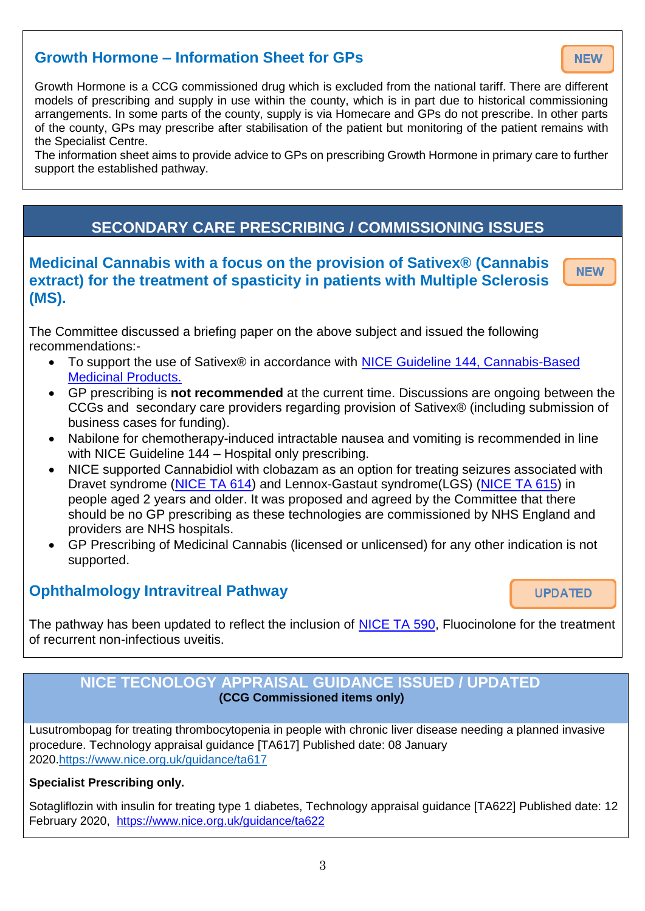## **Growth Hormone – Information Sheet for GPs**

Growth Hormone is a CCG commissioned drug which is excluded from the national tariff. There are different models of prescribing and supply in use within the county, which is in part due to historical commissioning arrangements. In some parts of the county, supply is via Homecare and GPs do not prescribe. In other parts of the county, GPs may prescribe after stabilisation of the patient but monitoring of the patient remains with the Specialist Centre.

The information sheet aims to provide advice to GPs on prescribing Growth Hormone in primary care to further support the established pathway.

## **SECONDARY CARE PRESCRIBING / COMMISSIONING ISSUES**

#### **Medicinal Cannabis with a focus on the provision of Sativex® (Cannabis NEW extract) for the treatment of spasticity in patients with Multiple Sclerosis (MS).**

The Committee discussed a briefing paper on the above subject and issued the following recommendations:-

- To support the use of Sativex® in accordance with NICE Guideline 144, Cannabis-Based [Medicinal Products.](https://www.nice.org.uk/guidance/ng144)
- GP prescribing is **not recommended** at the current time. Discussions are ongoing between the CCGs and secondary care providers regarding provision of Sativex® (including submission of business cases for funding).
- Nabilone for chemotherapy-induced intractable nausea and vomiting is recommended in line with NICE Guideline 144 – Hospital only prescribing.
- NICE supported Cannabidiol with clobazam as an option for treating seizures associated with Dravet syndrome [\(NICE TA 614\)](https://www.nice.org.uk/guidance/ta614) and Lennox-Gastaut syndrome(LGS) [\(NICE TA 615\)](https://www.nice.org.uk/guidance/ta615) in people aged 2 years and older. It was proposed and agreed by the Committee that there should be no GP prescribing as these technologies are commissioned by NHS England and providers are NHS hospitals.
- GP Prescribing of Medicinal Cannabis (licensed or unlicensed) for any other indication is not supported.

### **Ophthalmology Intravitreal Pathway**

**UPDATED** 

The pathway has been updated to reflect the inclusion of [NICE TA 590,](https://www.nice.org.uk/guidance/ta590) Fluocinolone for the treatment of recurrent non-infectious uveitis.

#### **NICE TECNOLOGY APPRAISAL GUIDANCE ISSUED / UPDATED (CCG Commissioned items only)**

Lusutrombopag for treating thrombocytopenia in people with chronic liver disease needing a planned invasive procedure. Technology appraisal guidance [TA617] Published date: 08 January 2020[.https://www.nice.org.uk/guidance/ta617](https://www.nice.org.uk/guidance/ta617)

#### **Specialist Prescribing only.**

Sotagliflozin with insulin for treating type 1 diabetes, Technology appraisal guidance [TA622] Published date: 12 February 2020, <https://www.nice.org.uk/guidance/ta622>

**NFW**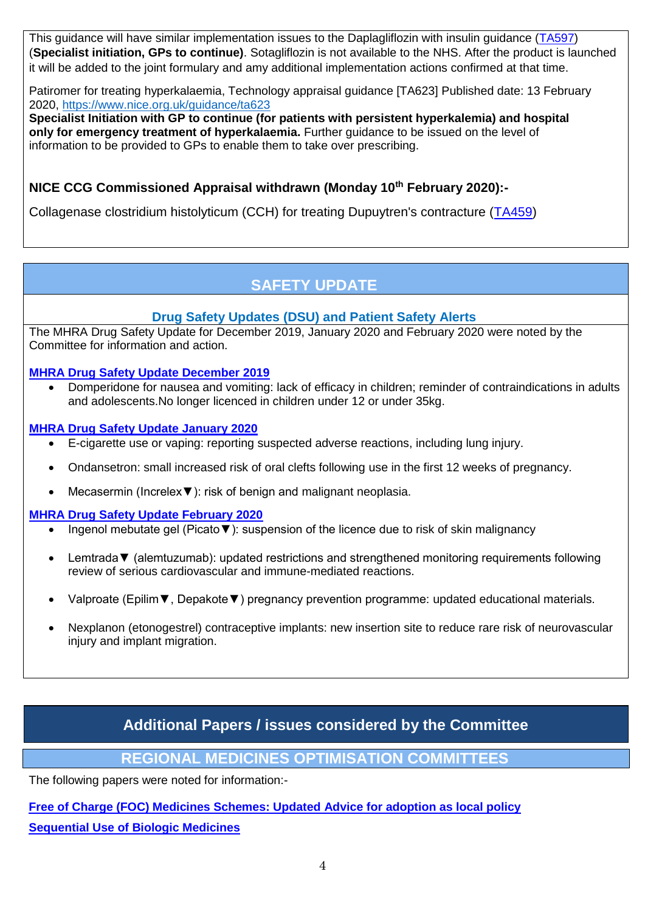This guidance will have similar implementation issues to the Daplagliflozin with insulin guidance [\(TA597\)](https://www.nice.org.uk/guidance/ta597) (**Specialist initiation, GPs to continue)**. Sotagliflozin is not available to the NHS. After the product is launched it will be added to the joint formulary and amy additional implementation actions confirmed at that time.

Patiromer for treating hyperkalaemia, Technology appraisal guidance [TA623] Published date: 13 February 2020,<https://www.nice.org.uk/guidance/ta623>

**Specialist Initiation with GP to continue (for patients with persistent hyperkalemia) and hospital only for emergency treatment of hyperkalaemia.** Further guidance to be issued on the level of information to be provided to GPs to enable them to take over prescribing.

### **NICE CCG Commissioned Appraisal withdrawn (Monday 10th February 2020):-**

Collagenase clostridium histolyticum (CCH) for treating Dupuytren's contracture [\(TA459\)](https://www.nice.org.uk/guidance/ta459)

## **SAFETY UPDATE**

#### **Drug Safety Updates (DSU) and Patient Safety Alerts**

The MHRA Drug Safety Update for December 2019, January 2020 and February 2020 were noted by the Committee for information and action.

#### **[MHRA Drug Safety Update December 2019](https://assets.publishing.service.gov.uk/government/uploads/system/uploads/attachment_data/file/852497/Dec-2019-PDF.pdf.pdf)**

 Domperidone for nausea and vomiting: lack of efficacy in children; reminder of contraindications in adults and adolescents.No longer licenced in children under 12 or under 35kg.

#### **[MHRA Drug Safety Update January 2020](https://assets.publishing.service.gov.uk/government/uploads/system/uploads/attachment_data/file/861112/Jan-2020-PDF-final.pdf)**

- E-cigarette use or vaping: reporting suspected adverse reactions, including lung injury.
- Ondansetron: small increased risk of oral clefts following use in the first 12 weeks of pregnancy.
- Mecasermin (Increlex▼): risk of benign and malignant neoplasia.

#### **[MHRA Drug Safety Update February 2020](https://assets.publishing.service.gov.uk/government/uploads/system/uploads/attachment_data/file/865491/Feb-2020-PDF.pdf)**

- Ingenol mebutate gel (Picato▼): suspension of the licence due to risk of skin malignancy
- Lemtrada▼ (alemtuzumab): updated restrictions and strengthened monitoring requirements following review of serious cardiovascular and immune-mediated reactions.
- Valproate (Epilim▼, Depakote▼) pregnancy prevention programme: updated educational materials.
- Nexplanon (etonogestrel) contraceptive implants: new insertion site to reduce rare risk of neurovascular injury and implant migration.

## **Additional Papers / issues considered by the Committee**

#### **REGIONAL MEDICINES OPTIMISATION COMMITTEES**

The following papers were noted for information:-

**[Free of Charge \(FOC\) Medicines Schemes: Updated Advice for adoption as local policy](https://www.sps.nhs.uk/articles/free-of-charge-foc-medicines-schemes-rmoc-advice-for-adoption-as-local-policy/) [Sequential Use of Biologic Medicines](https://www.sps.nhs.uk/articles/rmoc-advisory-statement-sequential-use-of-biologic-medicines/)**